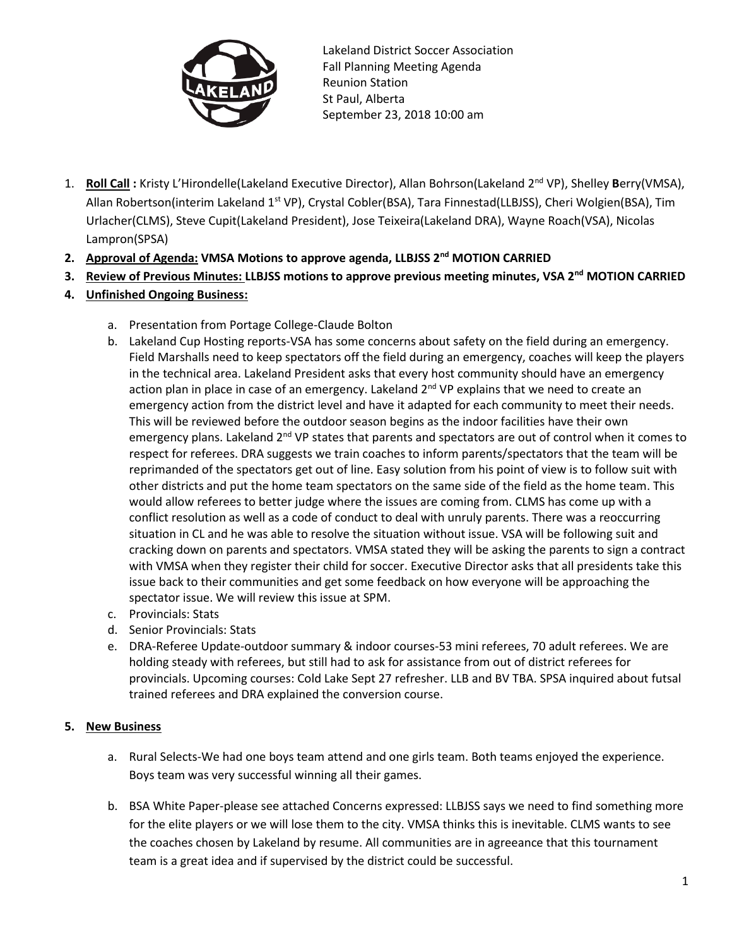

Lakeland District Soccer Association Fall Planning Meeting Agenda Reunion Station St Paul, Alberta September 23, 2018 10:00 am

- 1. Roll Call : Kristy L'Hirondelle(Lakeland Executive Director), Allan Bohrson(Lakeland 2<sup>nd</sup> VP), Shelley Berry(VMSA), Allan Robertson(interim Lakeland 1<sup>st</sup> VP), Crystal Cobler(BSA), Tara Finnestad(LLBJSS), Cheri Wolgien(BSA), Tim Urlacher(CLMS), Steve Cupit(Lakeland President), Jose Teixeira(Lakeland DRA), Wayne Roach(VSA), Nicolas Lampron(SPSA)
- **2. Approval of Agenda: VMSA Motions to approve agenda, LLBJSS 2nd MOTION CARRIED**
- **3. Review of Previous Minutes: LLBJSS motions to approve previous meeting minutes, VSA 2nd MOTION CARRIED**
- **4. Unfinished Ongoing Business:**
	- a. Presentation from Portage College-Claude Bolton
	- b. Lakeland Cup Hosting reports-VSA has some concerns about safety on the field during an emergency. Field Marshalls need to keep spectators off the field during an emergency, coaches will keep the players in the technical area. Lakeland President asks that every host community should have an emergency action plan in place in case of an emergency. Lakeland  $2^{nd}$  VP explains that we need to create an emergency action from the district level and have it adapted for each community to meet their needs. This will be reviewed before the outdoor season begins as the indoor facilities have their own emergency plans. Lakeland  $2^{nd}$  VP states that parents and spectators are out of control when it comes to respect for referees. DRA suggests we train coaches to inform parents/spectators that the team will be reprimanded of the spectators get out of line. Easy solution from his point of view is to follow suit with other districts and put the home team spectators on the same side of the field as the home team. This would allow referees to better judge where the issues are coming from. CLMS has come up with a conflict resolution as well as a code of conduct to deal with unruly parents. There was a reoccurring situation in CL and he was able to resolve the situation without issue. VSA will be following suit and cracking down on parents and spectators. VMSA stated they will be asking the parents to sign a contract with VMSA when they register their child for soccer. Executive Director asks that all presidents take this issue back to their communities and get some feedback on how everyone will be approaching the spectator issue. We will review this issue at SPM.
	- c. Provincials: Stats
	- d. Senior Provincials: Stats
	- e. DRA-Referee Update-outdoor summary & indoor courses-53 mini referees, 70 adult referees. We are holding steady with referees, but still had to ask for assistance from out of district referees for provincials. Upcoming courses: Cold Lake Sept 27 refresher. LLB and BV TBA. SPSA inquired about futsal trained referees and DRA explained the conversion course.

## **5. New Business**

- a. Rural Selects-We had one boys team attend and one girls team. Both teams enjoyed the experience. Boys team was very successful winning all their games.
- b. BSA White Paper-please see attached Concerns expressed: LLBJSS says we need to find something more for the elite players or we will lose them to the city. VMSA thinks this is inevitable. CLMS wants to see the coaches chosen by Lakeland by resume. All communities are in agreeance that this tournament team is a great idea and if supervised by the district could be successful.